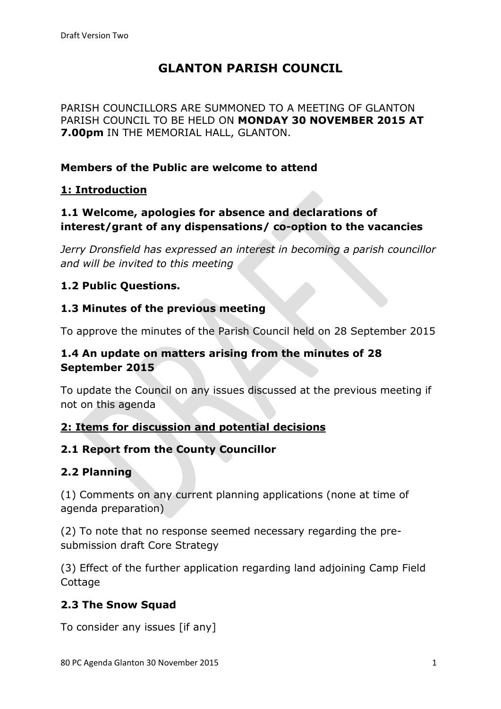# **GLANTON PARISH COUNCIL**

PARISH COUNCILLORS ARE SUMMONED TO A MEETING OF GLANTON PARISH COUNCIL TO BE HELD ON **MONDAY 30 NOVEMBER 2015 AT 7.00pm** IN THE MEMORIAL HALL, GLANTON.

## **Members of the Public are welcome to attend**

## **1: Introduction**

# **1.1 Welcome, apologies for absence and declarations of interest/grant of any dispensations/ co-option to the vacancies**

*Jerry Dronsfield has expressed an interest in becoming a parish councillor and will be invited to this meeting*

# **1.2 Public Questions.**

#### **1.3 Minutes of the previous meeting**

To approve the minutes of the Parish Council held on 28 September 2015

## **1.4 An update on matters arising from the minutes of 28 September 2015**

To update the Council on any issues discussed at the previous meeting if not on this agenda

## **2: Items for discussion and potential decisions**

## **2.1 Report from the County Councillor**

## **2.2 Planning**

(1) Comments on any current planning applications (none at time of agenda preparation)

(2) To note that no response seemed necessary regarding the presubmission draft Core Strategy

(3) Effect of the further application regarding land adjoining Camp Field Cottage

## **2.3 The Snow Squad**

To consider any issues [if any]